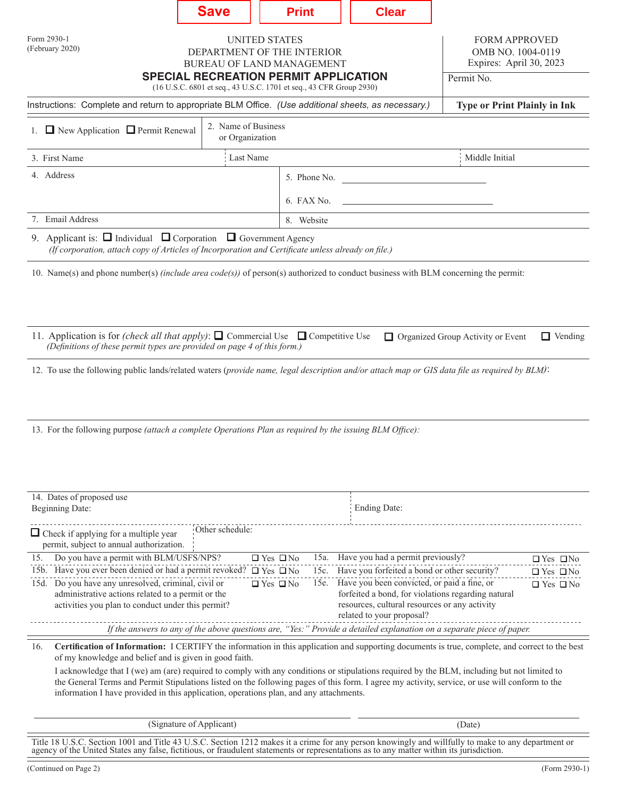|                                                                                                                                                                                                                                                                                                                                                                                         | <b>Save</b>                                                                            | <b>Print</b>                                 |  | <b>Clear</b>                                                                                                                                                                                                                              |  |                                              |
|-----------------------------------------------------------------------------------------------------------------------------------------------------------------------------------------------------------------------------------------------------------------------------------------------------------------------------------------------------------------------------------------|----------------------------------------------------------------------------------------|----------------------------------------------|--|-------------------------------------------------------------------------------------------------------------------------------------------------------------------------------------------------------------------------------------------|--|----------------------------------------------|
| Form 2930-1<br>(February 2020)                                                                                                                                                                                                                                                                                                                                                          | <b>UNITED STATES</b><br>DEPARTMENT OF THE INTERIOR<br><b>BUREAU OF LAND MANAGEMENT</b> | <b>SPECIAL RECREATION PERMIT APPLICATION</b> |  | <b>FORM APPROVED</b><br>OMB NO. 1004-0119<br>Expires: April 30, 2023<br>Permit No.                                                                                                                                                        |  |                                              |
| (16 U.S.C. 6801 et seq., 43 U.S.C. 1701 et seq., 43 CFR Group 2930)                                                                                                                                                                                                                                                                                                                     |                                                                                        |                                              |  |                                                                                                                                                                                                                                           |  |                                              |
| Instructions: Complete and return to appropriate BLM Office. (Use additional sheets, as necessary.)                                                                                                                                                                                                                                                                                     |                                                                                        | <b>Type or Print Plainly in Ink</b>          |  |                                                                                                                                                                                                                                           |  |                                              |
| 1. $\Box$ New Application $\Box$ Permit Renewal                                                                                                                                                                                                                                                                                                                                         | 2. Name of Business<br>or Organization                                                 |                                              |  |                                                                                                                                                                                                                                           |  |                                              |
| 3. First Name                                                                                                                                                                                                                                                                                                                                                                           | Last Name                                                                              | Middle Initial                               |  |                                                                                                                                                                                                                                           |  |                                              |
| 4. Address                                                                                                                                                                                                                                                                                                                                                                              |                                                                                        | 5. Phone No.                                 |  |                                                                                                                                                                                                                                           |  |                                              |
|                                                                                                                                                                                                                                                                                                                                                                                         |                                                                                        | 6. FAX No.                                   |  |                                                                                                                                                                                                                                           |  |                                              |
| 7. Email Address                                                                                                                                                                                                                                                                                                                                                                        | 8. Website                                                                             |                                              |  |                                                                                                                                                                                                                                           |  |                                              |
| 9. Applicant is: $\Box$ Individual $\Box$ Corporation $\Box$ Government Agency<br>(If corporation, attach copy of Articles of Incorporation and Certificate unless already on file.)                                                                                                                                                                                                    |                                                                                        |                                              |  |                                                                                                                                                                                                                                           |  |                                              |
| 10. Name(s) and phone number(s) <i>(include area code(s)</i> ) of person(s) authorized to conduct business with BLM concerning the permit:                                                                                                                                                                                                                                              |                                                                                        |                                              |  |                                                                                                                                                                                                                                           |  |                                              |
| 11. Application is for <i>(check all that apply)</i> : $\Box$ Commercial Use $\Box$ Competitive Use<br>$\Box$ Vending<br>Organized Group Activity or Event<br>(Definitions of these permit types are provided on page 4 of this form.)<br>12. To use the following public lands/related waters (provide name, legal description and/or attach map or GIS data file as required by BLM): |                                                                                        |                                              |  |                                                                                                                                                                                                                                           |  |                                              |
| 13. For the following purpose <i>(attach a complete Operations Plan as required by the issuing BLM Office)</i> :                                                                                                                                                                                                                                                                        |                                                                                        |                                              |  |                                                                                                                                                                                                                                           |  |                                              |
| 14. Dates of proposed use                                                                                                                                                                                                                                                                                                                                                               |                                                                                        |                                              |  | Ending Date:                                                                                                                                                                                                                              |  |                                              |
| <b>Beginning Date:</b><br>Other schedule:<br>$\Box$ Check if applying for a multiple year<br>permit, subject to annual authorization.                                                                                                                                                                                                                                                   |                                                                                        |                                              |  |                                                                                                                                                                                                                                           |  |                                              |
| Do you have a permit with BLM/USFS/NPS?<br>15.                                                                                                                                                                                                                                                                                                                                          |                                                                                        | $\Box$ Yes $\Box$ No                         |  | 15a. Have you had a permit previously?                                                                                                                                                                                                    |  | $\Box$ Yes $\Box$ No                         |
| 15b. Have you ever been denied or had a permit revoked? $\Box$ Yes $\Box$ No<br>15d. Do you have any unresolved, criminal, civil or<br>$\Box$ Yes $\Box$ No<br>administrative actions related to a permit or the<br>activities you plan to conduct under this permit?                                                                                                                   |                                                                                        |                                              |  | 15c. Have you forfeited a bond or other security?<br>15e. Have you been convicted, or paid a fine, or<br>forfeited a bond, for violations regarding natural<br>resources, cultural resources or any activity<br>related to your proposal? |  | $\Box$ Yes $\Box$ No<br>$\Box$ Yes $\Box$ No |
| If the answers to any of the above questions are, "Yes:" Provide a detailed explanation on a separate piece of paper.                                                                                                                                                                                                                                                                   |                                                                                        |                                              |  |                                                                                                                                                                                                                                           |  |                                              |
| Certification of Information: I CERTIFY the information in this application and supporting documents is true, complete, and correct to the best<br>16.<br>of my knowledge and belief and is given in good faith.<br>I acknowledge that I (we) am (are) required to comply with any conditions or stipulations required by the BLM, including but not limited to                         |                                                                                        |                                              |  |                                                                                                                                                                                                                                           |  |                                              |
| the General Terms and Permit Stipulations listed on the following pages of this form. I agree my activity, service, or use will conform to the<br>information I have provided in this application, operations plan, and any attachments.                                                                                                                                                |                                                                                        |                                              |  |                                                                                                                                                                                                                                           |  |                                              |

| (Signature of Applicant)                                                                                                                           | (Date) |
|----------------------------------------------------------------------------------------------------------------------------------------------------|--------|
| Title 18 U.S.C. Section 1001 and Title 43 U.S.C. Section 1212 makes it a crime for any person knowingly and willfully to make to any department or |        |
| agency of the United States any false, fictitious, or fraudulent statements or representations as to any matter within its jurisdiction.           |        |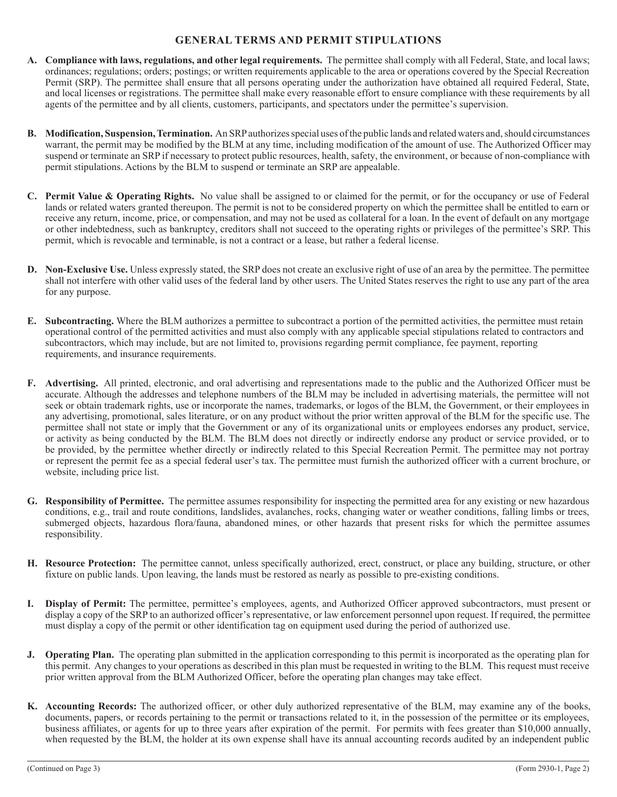# **GENERAL TERMS AND PERMIT STIPULATIONS**

- **A. Compliance with laws, regulations, and other legal requirements.** The permittee shall comply with all Federal, State, and local laws; ordinances; regulations; orders; postings; or written requirements applicable to the area or operations covered by the Special Recreation Permit (SRP). The permittee shall ensure that all persons operating under the authorization have obtained all required Federal, State, and local licenses or registrations. The permittee shall make every reasonable effort to ensure compliance with these requirements by all agents of the permittee and by all clients, customers, participants, and spectators under the permittee's supervision.
- **B. Modification, Suspension, Termination.** An SRP authorizes special uses of the public lands and related waters and, should circumstances warrant, the permit may be modified by the BLM at any time, including modification of the amount of use. The Authorized Officer may suspend or terminate an SRP if necessary to protect public resources, health, safety, the environment, or because of non-compliance with permit stipulations. Actions by the BLM to suspend or terminate an SRP are appealable.
- **C. Permit Value & Operating Rights.** No value shall be assigned to or claimed for the permit, or for the occupancy or use of Federal lands or related waters granted thereupon. The permit is not to be considered property on which the permittee shall be entitled to earn or receive any return, income, price, or compensation, and may not be used as collateral for a loan. In the event of default on any mortgage or other indebtedness, such as bankruptcy, creditors shall not succeed to the operating rights or privileges of the permittee's SRP. This permit, which is revocable and terminable, is not a contract or a lease, but rather a federal license.
- **D. Non-Exclusive Use.** Unless expressly stated, the SRP does not create an exclusive right of use of an area by the permittee. The permittee shall not interfere with other valid uses of the federal land by other users. The United States reserves the right to use any part of the area for any purpose.
- **E. Subcontracting.** Where the BLM authorizes a permittee to subcontract a portion of the permitted activities, the permittee must retain operational control of the permitted activities and must also comply with any applicable special stipulations related to contractors and subcontractors, which may include, but are not limited to, provisions regarding permit compliance, fee payment, reporting requirements, and insurance requirements.
- accurate. Although the addresses and telephone numbers of the BLM may be included in advertising materials, the permittee will not **F. Advertising.** All printed, electronic, and oral advertising and representations made to the public and the Authorized Officer must be seek or obtain trademark rights, use or incorporate the names, trademarks, or logos of the BLM, the Government, or their employees in any advertising, promotional, sales literature, or on any product without the prior written approval of the BLM for the specific use. The permittee shall not state or imply that the Government or any of its organizational units or employees endorses any product, service, or activity as being conducted by the BLM. The BLM does not directly or indirectly endorse any product or service provided, or to be provided, by the permittee whether directly or indirectly related to this Special Recreation Permit. The permittee may not portray or represent the permit fee as a special federal user's tax. The permittee must furnish the authorized officer with a current brochure, or website, including price list.
- conditions, e.g., trail and route conditions, landslides, avalanches, rocks, changing water or weather conditions, falling limbs or trees, **G. Responsibility of Permittee.** The permittee assumes responsibility for inspecting the permitted area for any existing or new hazardous submerged objects, hazardous flora/fauna, abandoned mines, or other hazards that present risks for which the permittee assumes responsibility.
- fixture on public lands. Upon leaving, the lands must be restored as nearly as possible to pre-existing conditions. **H. Resource Protection:** The permittee cannot, unless specifically authorized, erect, construct, or place any building, structure, or other
- **I. Display of Permit:** The permittee, permittee's employees, agents, and Authorized Officer approved subcontractors, must present or display a copy of the SRP to an authorized officer's representative, or law enforcement personnel upon request. If required, the permittee must display a copy of the permit or other identification tag on equipment used during the period of authorized use.
- this permit. Any changes to your operations as described in this plan must be requested in writing to the BLM. This request must receive **J. Operating Plan.** The operating plan submitted in the application corresponding to this permit is incorporated as the operating plan for prior written approval from the BLM Authorized Officer, before the operating plan changes may take effect.
- **K. Accounting Records:** The authorized officer, or other duly authorized representative of the BLM, may examine any of the books, documents, papers, or records pertaining to the permit or transactions related to it, in the possession of the permittee or its employees, business affiliates, or agents for up to three years after expiration of the permit. For permits with fees greater than \$10,000 annually, when requested by the BLM, the holder at its own expense shall have its annual accounting records audited by an independent public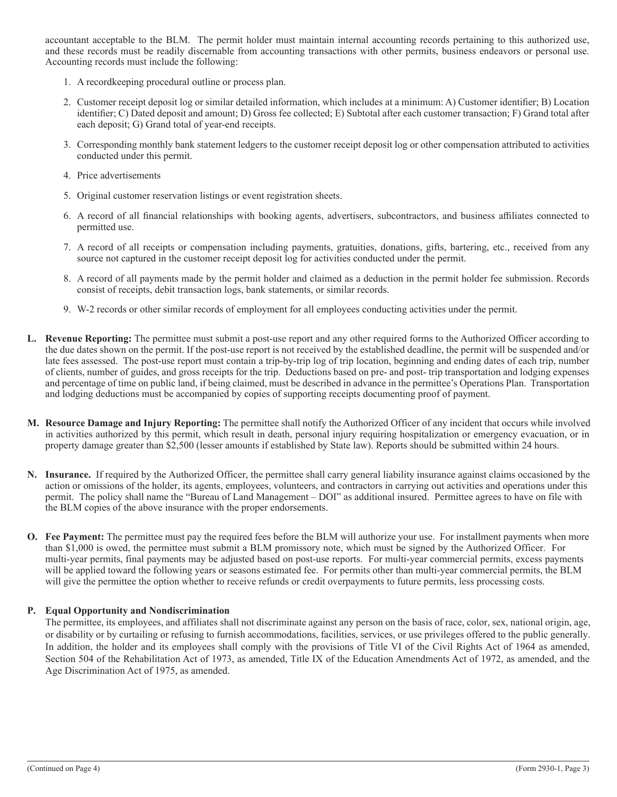accountant acceptable to the BLM. The permit holder must maintain internal accounting records pertaining to this authorized use, and these records must be readily discernable from accounting transactions with other permits, business endeavors or personal use. Accounting records must include the following:

- 1. A recordkeeping procedural outline or process plan.
- 2. Customer receipt deposit log or similar detailed information, which includes at a minimum: A) Customer identifier; B) Location identifier; C) Dated deposit and amount; D) Gross fee collected; E) Subtotal after each customer transaction; F) Grand total after each deposit; G) Grand total of year-end receipts.
- 3. Corresponding monthly bank statement ledgers to the customer receipt deposit log or other compensation attributed to activities conducted under this permit.
- 4. Price advertisements
- 5. Original customer reservation listings or event registration sheets.
- 6. A record of all financial relationships with booking agents, advertisers, subcontractors, and business affiliates connected to permitted use.
- 7. A record of all receipts or compensation including payments, gratuities, donations, gifts, bartering, etc., received from any source not captured in the customer receipt deposit log for activities conducted under the permit.
- 8. A record of all payments made by the permit holder and claimed as a deduction in the permit holder fee submission. Records consist of receipts, debit transaction logs, bank statements, or similar records.
- 9. W-2 records or other similar records of employment for all employees conducting activities under the permit.
- **L. Revenue Reporting:** The permittee must submit a post-use report and any other required forms to the Authorized Officer according to the due dates shown on the permit. If the post-use report is not received by the established deadline, the permit will be suspended and/or late fees assessed. The post-use report must contain a trip-by-trip log of trip location, beginning and ending dates of each trip, number of clients, number of guides, and gross receipts for the trip. Deductions based on pre- and post- trip transportation and lodging expenses and percentage of time on public land, if being claimed, must be described in advance in the permittee's Operations Plan. Transportation and lodging deductions must be accompanied by copies of supporting receipts documenting proof of payment.
- **M. Resource Damage and Injury Reporting:** The permittee shall notify the Authorized Officer of any incident that occurs while involved in activities authorized by this permit, which result in death, personal injury requiring hospitalization or emergency evacuation, or in property damage greater than \$2,500 (lesser amounts if established by State law). Reports should be submitted within 24 hours.
- **N. Insurance.** If required by the Authorized Officer, the permittee shall carry general liability insurance against claims occasioned by the action or omissions of the holder, its agents, employees, volunteers, and contractors in carrying out activities and operations under this permit. The policy shall name the "Bureau of Land Management – DOI" as additional insured. Permittee agrees to have on file with the BLM copies of the above insurance with the proper endorsements.
- **O. Fee Payment:** The permittee must pay the required fees before the BLM will authorize your use. For installment payments when more than \$1,000 is owed, the permittee must submit a BLM promissory note, which must be signed by the Authorized Officer. For multi-year permits, final payments may be adjusted based on post-use reports. For multi-year commercial permits, excess payments will be applied toward the following years or seasons estimated fee. For permits other than multi-year commercial permits, the BLM will give the permittee the option whether to receive refunds or credit overpayments to future permits, less processing costs.

#### **P. Equal Opportunity and Nondiscrimination**

The permittee, its employees, and affiliates shall not discriminate against any person on the basis of race, color, sex, national origin, age, or disability or by curtailing or refusing to furnish accommodations, facilities, services, or use privileges offered to the public generally. In addition, the holder and its employees shall comply with the provisions of Title VI of the Civil Rights Act of 1964 as amended, Section 504 of the Rehabilitation Act of 1973, as amended, Title IX of the Education Amendments Act of 1972, as amended, and the Age Discrimination Act of 1975, as amended.